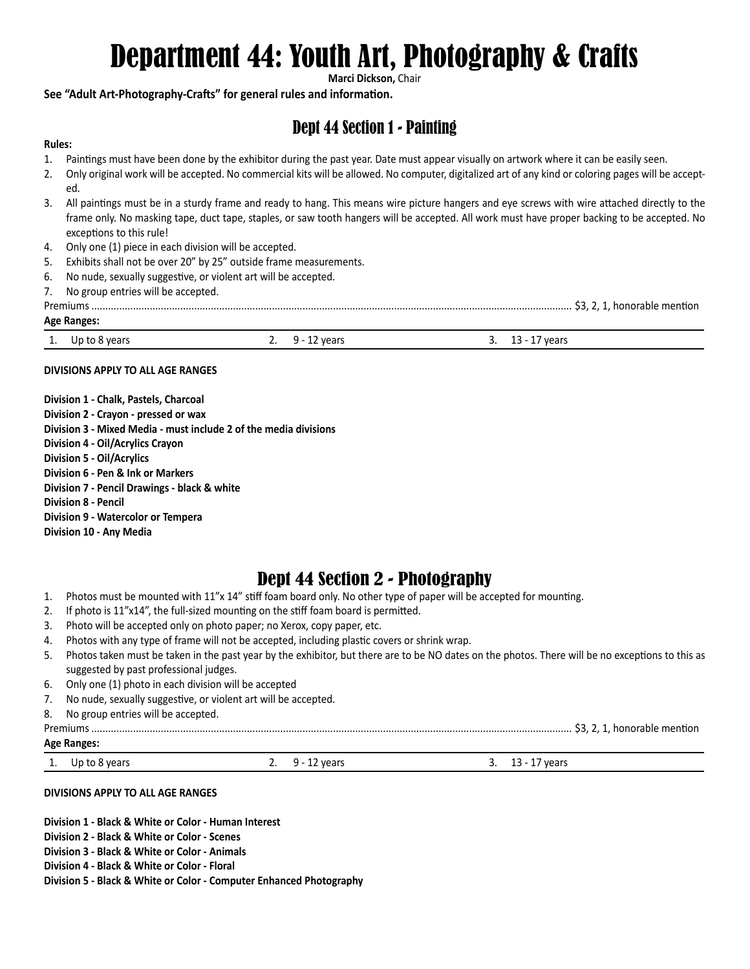# Department 44: Youth Art, Photography & Crafts

**Marci Dickson,** Chair

### **See "Adult Art-Photography-Crafts" for general rules and information.**

# Dept 44 Section 1 - Painting

### **Rules:**

- 1. Paintings must have been done by the exhibitor during the past year. Date must appear visually on artwork where it can be easily seen.
- 2. Only original work will be accepted. No commercial kits will be allowed. No computer, digitalized art of any kind or coloring pages will be accepted.
- 3. All paintings must be in a sturdy frame and ready to hang. This means wire picture hangers and eye screws with wire attached directly to the frame only. No masking tape, duct tape, staples, or saw tooth hangers will be accepted. All work must have proper backing to be accepted. No exceptions to this rule!
- 4. Only one (1) piece in each division will be accepted.
- 5. Exhibits shall not be over 20" by 25" outside frame measurements.
- 6. No nude, sexually suggestive, or violent art will be accepted.
- 7. No group entries will be accepted.

| Premium:<br>. honorable mention |  |
|---------------------------------|--|
|---------------------------------|--|

#### **Age Ranges:**

|     |               |     |                                  |          | $\overline{\phantom{a}}$ |
|-----|---------------|-----|----------------------------------|----------|--------------------------|
| . . | Up to 8 years | . . | 1002r<br>rcai s<br>$\sim$ $\sim$ | <u>.</u> | vears<br>--              |

### **DIVISIONS APPLY TO ALL AGE RANGES**

**Division 1 - Chalk, Pastels, Charcoal Division 2 - Crayon - pressed or wax Division 3 - Mixed Media - must include 2 of the media divisions Division 4 - Oil/Acrylics Crayon Division 5 - Oil/Acrylics Division 6 - Pen & Ink or Markers Division 7 - Pencil Drawings - black & white Division 8 - Pencil Division 9 - Watercolor or Tempera Division 10 - Any Media**

# Dept 44 Section 2 - Photography

- 1. Photos must be mounted with 11"x 14" stiff foam board only. No other type of paper will be accepted for mounting.
- 2. If photo is 11"x14", the full-sized mounting on the stiff foam board is permitted.
- 3. Photo will be accepted only on photo paper; no Xerox, copy paper, etc.
- 4. Photos with any type of frame will not be accepted, including plastic covers or shrink wrap.
- 5. Photos taken must be taken in the past year by the exhibitor, but there are to be NO dates on the photos. There will be no exceptions to this as suggested by past professional judges.
- 6. Only one (1) photo in each division will be accepted
- 7. No nude, sexually suggestive, or violent art will be accepted.
- 8. No group entries will be accepted.

#### Premiums ............................................................................................................................................................................. \$3, 2, 1, honorable mention **Age Ranges:**

1. Up to 8 years 2. 9 - 12 years 3. 13 - 17 years

#### **DIVISIONS APPLY TO ALL AGE RANGES**

**Division 1 - Black & White or Color - Human Interest Division 2 - Black & White or Color - Scenes Division 3 - Black & White or Color - Animals Division 4 - Black & White or Color - Floral Division 5 - Black & White or Color - Computer Enhanced Photography**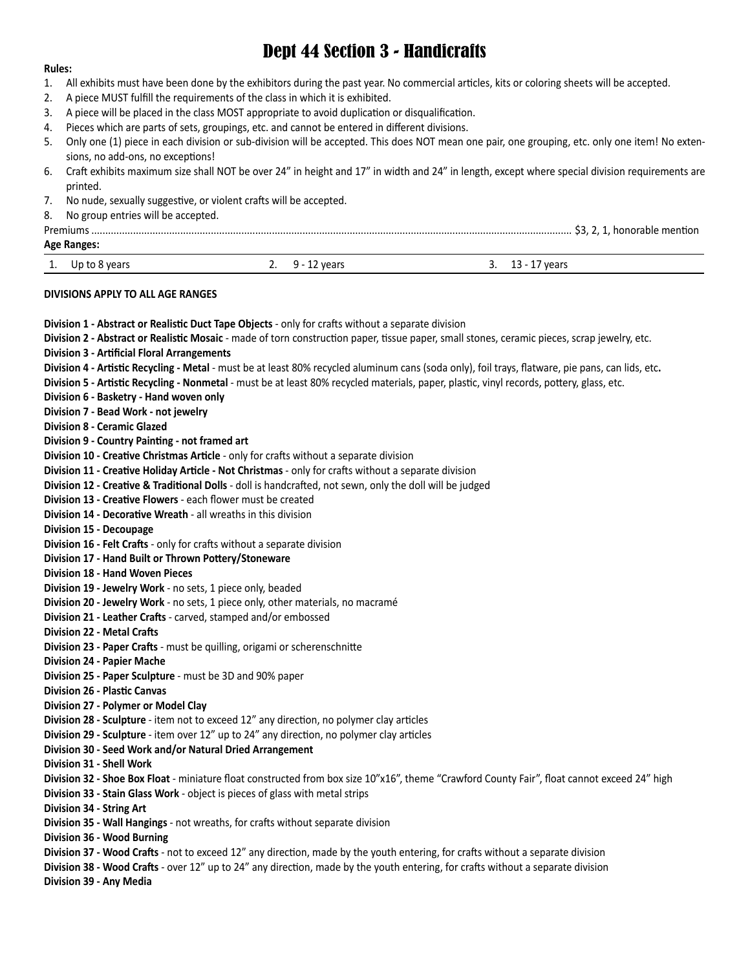# Dept 44 Section 3 - Handicrafts

#### **Rules:**

- 1. All exhibits must have been done by the exhibitors during the past year. No commercial articles, kits or coloring sheets will be accepted.
- 2. A piece MUST fulfill the requirements of the class in which it is exhibited.
- 3. A piece will be placed in the class MOST appropriate to avoid duplication or disqualification.
- 4. Pieces which are parts of sets, groupings, etc. and cannot be entered in different divisions.
- 5. Only one (1) piece in each division or sub-division will be accepted. This does NOT mean one pair, one grouping, etc. only one item! No extensions, no add-ons, no exceptions!
- 6. Craft exhibits maximum size shall NOT be over 24" in height and 17" in width and 24" in length, except where special division requirements are printed.
- 7. No nude, sexually suggestive, or violent crafts will be accepted.
- 8. No group entries will be accepted.

| Premiums             |                         |                  |  |  |  |  |  |  |
|----------------------|-------------------------|------------------|--|--|--|--|--|--|
| <b>Age Ranges:</b>   |                         |                  |  |  |  |  |  |  |
| Up to 8 years<br>. . | 9 - 12 vears<br><u></u> | 3. 13 - 17 years |  |  |  |  |  |  |

#### **DIVISIONS APPLY TO ALL AGE RANGES**

| Division 1 - Abstract or Realistic Duct Tape Objects - only for crafts without a separate division                                                |
|---------------------------------------------------------------------------------------------------------------------------------------------------|
| Division 2 - Abstract or Realistic Mosaic - made of torn construction paper, tissue paper, small stones, ceramic pieces, scrap jewelry, etc.      |
| <b>Division 3 - Artificial Floral Arrangements</b>                                                                                                |
| Division 4 - Artistic Recycling - Metal - must be at least 80% recycled aluminum cans (soda only), foil trays, flatware, pie pans, can lids, etc. |
| Division 5 - Artistic Recycling - Nonmetal - must be at least 80% recycled materials, paper, plastic, vinyl records, pottery, glass, etc.         |
| Division 6 - Basketry - Hand woven only                                                                                                           |
| Division 7 - Bead Work - not jewelry                                                                                                              |
| <b>Division 8 - Ceramic Glazed</b>                                                                                                                |
| Division 9 - Country Painting - not framed art                                                                                                    |
| Division 10 - Creative Christmas Article - only for crafts without a separate division                                                            |
| Division 11 - Creative Holiday Article - Not Christmas - only for crafts without a separate division                                              |
| Division 12 - Creative & Traditional Dolls - doll is handcrafted, not sewn, only the doll will be judged                                          |
| <b>Division 13 - Creative Flowers</b> - each flower must be created                                                                               |
| Division 14 - Decorative Wreath - all wreaths in this division                                                                                    |
| <b>Division 15 - Decoupage</b>                                                                                                                    |
| Division 16 - Felt Crafts - only for crafts without a separate division                                                                           |
| Division 17 - Hand Built or Thrown Pottery/Stoneware                                                                                              |
| <b>Division 18 - Hand Woven Pieces</b>                                                                                                            |
| Division 19 - Jewelry Work - no sets, 1 piece only, beaded                                                                                        |
| Division 20 - Jewelry Work - no sets, 1 piece only, other materials, no macramé                                                                   |
| Division 21 - Leather Crafts - carved, stamped and/or embossed                                                                                    |
| <b>Division 22 - Metal Crafts</b>                                                                                                                 |
| Division 23 - Paper Crafts - must be quilling, origami or scherenschnitte                                                                         |
| <b>Division 24 - Papier Mache</b>                                                                                                                 |
| Division 25 - Paper Sculpture - must be 3D and 90% paper                                                                                          |
| <b>Division 26 - Plastic Canvas</b>                                                                                                               |
| Division 27 - Polymer or Model Clay                                                                                                               |
| Division 28 - Sculpture - item not to exceed 12" any direction, no polymer clay articles                                                          |
| Division 29 - Sculpture - item over 12" up to 24" any direction, no polymer clay articles                                                         |
| Division 30 - Seed Work and/or Natural Dried Arrangement                                                                                          |
| Division 31 - Shell Work                                                                                                                          |
| Division 32 - Shoe Box Float - miniature float constructed from box size 10"x16", theme "Crawford County Fair", float cannot exceed 24" high      |
| Division 33 - Stain Glass Work - object is pieces of glass with metal strips                                                                      |
| Division 34 - String Art                                                                                                                          |
| Division 35 - Wall Hangings - not wreaths, for crafts without separate division                                                                   |
| Division 36 - Wood Burning                                                                                                                        |
| Division 37 - Wood Crafts - not to exceed 12" any direction, made by the youth entering, for crafts without a separate division                   |
| Division 38 - Wood Crafts - over 12" up to 24" any direction, made by the youth entering, for crafts without a separate division                  |
| Division 39 - Any Media                                                                                                                           |
|                                                                                                                                                   |